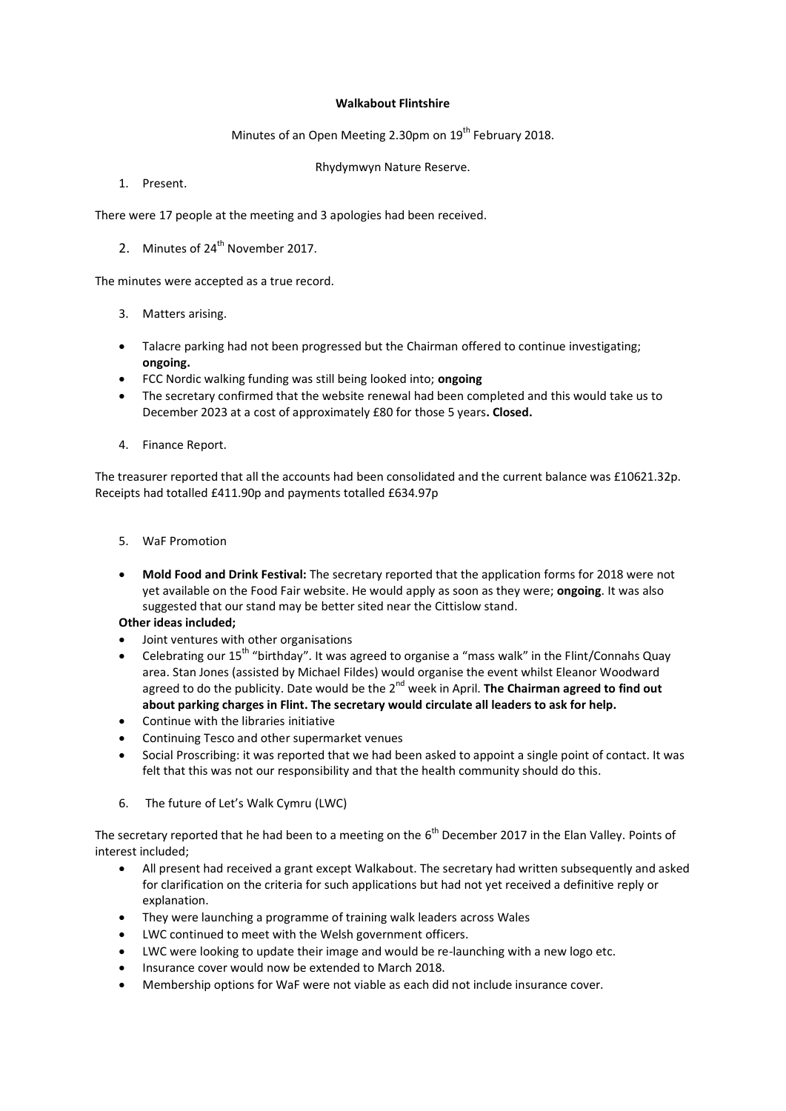## **Walkabout Flintshire**

## Minutes of an Open Meeting 2.30pm on 19<sup>th</sup> February 2018.

Rhydymwyn Nature Reserve.

1. Present.

There were 17 people at the meeting and 3 apologies had been received.

2. Minutes of 24<sup>th</sup> November 2017.

The minutes were accepted as a true record.

- 3. Matters arising.
- Talacre parking had not been progressed but the Chairman offered to continue investigating; **ongoing.**
- FCC Nordic walking funding was still being looked into; **ongoing**
- The secretary confirmed that the website renewal had been completed and this would take us to December 2023 at a cost of approximately £80 for those 5 years**. Closed.**
- 4. Finance Report.

The treasurer reported that all the accounts had been consolidated and the current balance was £10621.32p. Receipts had totalled £411.90p and payments totalled £634.97p

- 5. WaF Promotion
- **Mold Food and Drink Festival:** The secretary reported that the application forms for 2018 were not yet available on the Food Fair website. He would apply as soon as they were; **ongoing**. It was also suggested that our stand may be better sited near the Cittislow stand.

## **Other ideas included;**

- Joint ventures with other organisations
- Celebrating our 15<sup>th</sup> "birthday". It was agreed to organise a "mass walk" in the Flint/Connahs Quay area. Stan Jones (assisted by Michael Fildes) would organise the event whilst Eleanor Woodward agreed to do the publicity. Date would be the 2nd week in April. **The Chairman agreed to find out about parking charges in Flint. The secretary would circulate all leaders to ask for help.**
- Continue with the libraries initiative
- Continuing Tesco and other supermarket venues
- Social Proscribing: it was reported that we had been asked to appoint a single point of contact. It was felt that this was not our responsibility and that the health community should do this.
- 6. The future of Let's Walk Cymru (LWC)

The secretary reported that he had been to a meeting on the  $6^{th}$  December 2017 in the Elan Valley. Points of interest included;

- All present had received a grant except Walkabout. The secretary had written subsequently and asked for clarification on the criteria for such applications but had not yet received a definitive reply or explanation.
- They were launching a programme of training walk leaders across Wales
- LWC continued to meet with the Welsh government officers.
- LWC were looking to update their image and would be re-launching with a new logo etc.
- Insurance cover would now be extended to March 2018.
- Membership options for WaF were not viable as each did not include insurance cover.